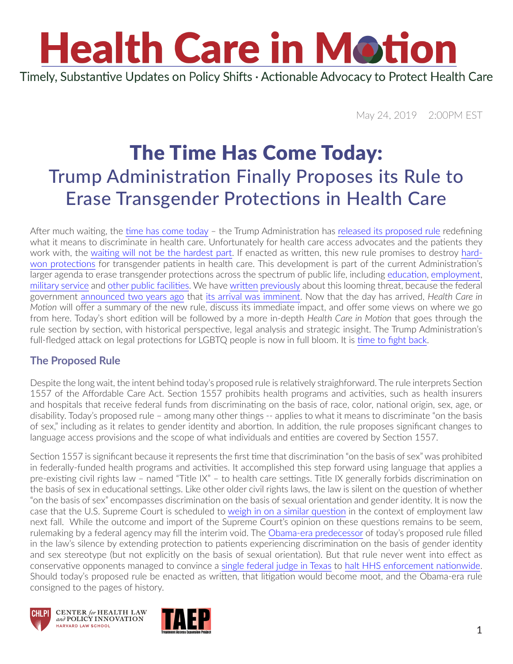## **Health Care in Motion** Timely, Substantive Updates on Policy Shifts · Actionable Advocacy to Protect Health Care

May 24, 2019 2:00PM EST

### The Time Has Come Today: Trump Administration Finally Proposes its Rule to Erase Transgender Protections in Health Care

After much waiting, the [time has come today](https://www.youtube.com/watch?v=cEKp5smqxHQ) – the Trump Administration has [released its proposed rule](https://www.hhs.gov/sites/default/files/1557-nprm-hhs.pdf) redefining what it means to discriminate in health care. Unfortunately for health care access advocates and the patients they work with, the [waiting will not be the hardest part.](https://www.youtube.com/watch?v=QpG09PenZt8) If enacted as written, this new rule promises to destroy [hard](https://www.vox.com/2016/5/13/11672670/transgender-health-care-obamacare)[won protections](https://www.vox.com/2016/5/13/11672670/transgender-health-care-obamacare) for transgender patients in health care. This development is part of the current Administration's larger agenda to erase transgender protections across the spectrum of public life, including [education,](https://assets.documentcloud.org/documents/3473548/GG-DOJ-16-273.pdf) [employment,](http://hr.cch.com/eld/15-3775.pdf) [military service](https://www.washingtonpost.com/world/national-security/military-to-begin-enforcing-restrictions-on-trumps-transgender-troops/2019/03/13/cf2a0530-4587-11e9-9726-50f151ab44b9_story.html?utm_term=.260f9cb32806) and [other public facilities.](https://www.genderequalitylaw.org/single-post/2018/10/23/Rights-of-Transgender-and-Nonbinary-Individuals-WontBeErased) We have [written](https://www.chlpi.org/wp-content/uploads/2013/12/HCIM_09_01_2017.pdf) [previously](https://www.chlpi.org/wp-content/uploads/2013/12/HCIM_06_01_2018.pdf) about this looming threat, because the federal government [announced two years ago](http://fenwayfocus.org/2017/05/trump-administration-signals-plans-to-reverse-section-1557-regulations-prohibiting-discrimination-on-the-basis-of-gender-identity-in-health-care/) that [its arrival was imminent](https://www.healthaffairs.org/do/10.1377/hblog20190410.677914/full/). Now that the day has arrived, *Health Care in Motion* will offer a summary of the new rule, discuss its immediate impact, and offer some views on where we go from here. Today's short edition will be followed by a more in-depth *Health Care in Motion* that goes through the rule section by section, with historical perspective, legal analysis and strategic insight. The Trump Administration's full-fledged attack on legal protections for LGBTQ people is now in full bloom. It is [time to fight back.](https://protecttranshealth.org/)

#### **The Proposed Rule**

Despite the long wait, the intent behind today's proposed rule is relatively straighforward. The rule interprets Section 1557 of the Affordable Care Act. Section 1557 prohibits health programs and activities, such as health insurers and hospitals that receive federal funds from discriminating on the basis of race, color, national origin, sex, age, or disability. Today's proposed rule – among many other things -- applies to what it means to discriminate "on the basis of sex," including as it relates to gender identity and abortion. In addition, the rule proposes significant changes to language access provisions and the scope of what individuals and entities are covered by Section 1557.

Section 1557 is significant because it represents the first time that discrimination "on the basis of sex" was prohibited in federally-funded health programs and activities. It accomplished this step forward using language that applies a pre-existing civil rights law – named "Title IX" – to health care settings. Title IX generally forbids discrimination on the basis of sex in educational settings. Like other older civil rights laws, the law is silent on the question of whether "on the basis of sex" encompasses discrimination on the basis of sexual orientation and gender identity. It is now the case that the U.S. Supreme Court is scheduled to [weigh in on a similar question](https://www.chlpi.org/wp-content/uploads/2013/12/HCIM_04_23_2019.pdf) in the context of employment law next fall. While the outcome and import of the Supreme Court's opinion on these questions remains to be seem, rulemaking by a federal agency may fill the interim void. The [Obama-era predecessor](https://www.federalregister.gov/documents/2016/05/18/2016-11458/nondiscrimination-in-health-programs-and-activities) of today's proposed rule filled in the law's silence by extending protection to patients experiencing discrimination on the basis of gender identity and sex stereotype (but not explicitly on the basis of sexual orientation). But that rule never went into effect as conservative opponents managed to convince a [single federal judge in Texas](http://www.txnd.uscourts.gov/judge/district-judge-reed-oconnor) to [halt HHS enforcement nationwide](https://www.documentcloud.org/documents/3249186-Injunction-Franciscan-Alliance-v-Burwell.html). Should today's proposed rule be enacted as written, that litigation would become moot, and the Obama-era rule consigned to the pages of history.





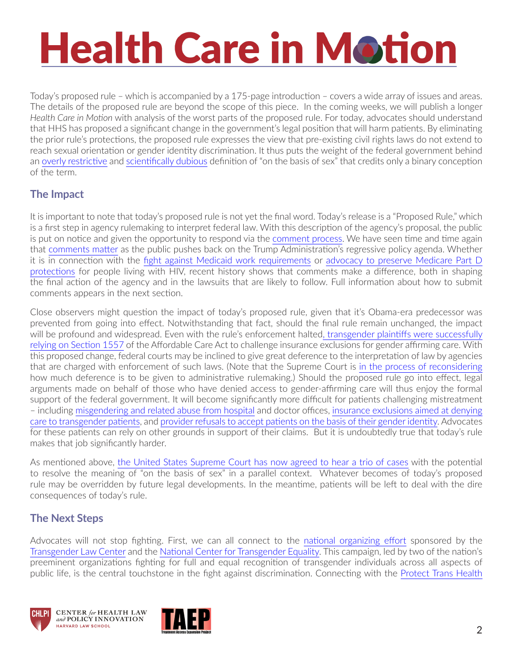# **Health Care in Motion**

Today's proposed rule – which is accompanied by a 175-page introduction – covers a wide array of issues and areas. The details of the proposed rule are beyond the scope of this piece. In the coming weeks, we will publish a longer *Health Care in Motion* with analysis of the worst parts of the proposed rule. For today, advocates should understand that HHS has proposed a significant change in the government's legal position that will harm patients. By eliminating the prior rule's protections, the proposed rule expresses the view that pre-existing civil rights laws do not extend to reach sexual orientation or gender identity discrimination. It thus puts the weight of the federal government behind an [overly restrictive](http://www.minnesotalawreview.org/articles/note-recognizing-transgender-intersex-and-nonbinary-people-in-healthcare-antidiscrimination-law/) and [scientifically dubious](https://www.scientificamerican.com/article/beyond-xx-and-xy-the-extraordinary-complexity-of-sex-determination/) definition of "on the basis of sex" that credits only a binary conception of the term.

#### **The Impact**

It is important to note that today's proposed rule is not yet the final word. Today's release is a "Proposed Rule," which is a first step in agency rulemaking to interpret federal law. With this description of the agency's proposal, the public is put on notice and given the opportunity to respond via the [comment process.](https://www.hhs.gov/regulations/comment-on-open-rules/index.html) We have seen time and time again that [comments matter](https://www.chlpi.org/wp-content/uploads/2013/12/Why-Public-Comments-Matter-CHLPI-Branded.pdf) as the public pushes back on the Trump Administration's regressive policy agenda. Whether it is in connection with the [fight against Medicaid work requirements](https://www.chlpi.org/wp-content/uploads/2013/12/HCIM_07_02_2018.pdf) or advocacy to preserve Medicare Part D [protections](https://www.chlpi.org/wp-content/uploads/2013/12/HCIM_5_23_2019.pdf) for people living with HIV, recent history shows that comments make a difference, both in shaping the final action of the agency and in the lawsuits that are likely to follow. Full information about how to submit comments appears in the next section.

Close observers might question the impact of today's proposed rule, given that it's Obama-era predecessor was prevented from going into effect. Notwithstanding that fact, should the final rule remain unchanged, the impact will be profound and widespread. Even with the rule's enforcement halte[d, transgender plaintiffs were successfully](https://healthlaw.org/news/federal-court-issues-statewide-injunction-against-wisconsins-medicaid-exclusion-of-transgender-health-care/)  [relying on Section 1557](https://healthlaw.org/news/federal-court-issues-statewide-injunction-against-wisconsins-medicaid-exclusion-of-transgender-health-care/) of the Affordable Care Act to challenge insurance exclusions for gender affirming care. With this proposed change, federal courts may be inclined to give great deference to the interpretation of law by agencies that are charged with enforcement of such laws. (Note that the Supreme Court is [in the process of reconsidering](https://www.law.com/newyorklawjournal/2019/04/05/the-supreme-court-takes-aim-at-deference-to-administrative-agencies/) how much deference is to be given to administrative rulemaking.) Should the proposed rule go into effect, legal arguments made on behalf of those who have denied access to gender-affirming care will thus enjoy the formal support of the federal government. It will become significantly more difficult for patients challenging mistreatment – including [misgendering and related abuse from hospital](http://www.startribune.com/judge-says-transgender-man-has-case-he-was-mistreated-at-hospital/296930741/) and doctor offices, [insurance exclusions aimed at denying](https://out2enroll.org/out2enroll/wp-content/uploads/2017/11/Overview-of-Trans-Exclusions-in-2018-Marketplace-Plans-1.pdf)  [care to transgender patients](https://out2enroll.org/out2enroll/wp-content/uploads/2017/11/Overview-of-Trans-Exclusions-in-2018-Marketplace-Plans-1.pdf), and [provider refusals to accept patients on the basis of their gender identity](https://www.northjersey.com/story/news/health/2017/01/05/transgender-man-sues-st-josephs-paterson-over-denial-surgery/96205098/). Advocates for these patients can rely on other grounds in support of their claims. But it is undoubtedly true that today's rule makes that job significantly harder.

As mentioned above, [the United States Supreme Court has now agreed to hear a trio of cases](https://www.chlpi.org/wp-content/uploads/2013/12/HCIM_04_23_2019.pdf) with the potential to resolve the meaning of "on the basis of sex" in a parallel context. Whatever becomes of today's proposed rule may be overridden by future legal developments. In the meantime, patients will be left to deal with the dire consequences of today's rule.

#### **The Next Steps**

Advocates will not stop fighting. First, we can all connect to the [national organizing effort](https://protecttranshealth.org/) sponsored by the [Transgender Law Center](https://transgenderlawcenter.org/) and the [National Center for Transgender Equality](https://transequality.org/). This campaign, led by two of the nation's preeminent organizations fighting for full and equal recognition of transgender individuals across all aspects of public life, is the central touchstone in the fight against discrimination. Connecting with the [Protect Trans Health](https://protecttranshealth.org/)